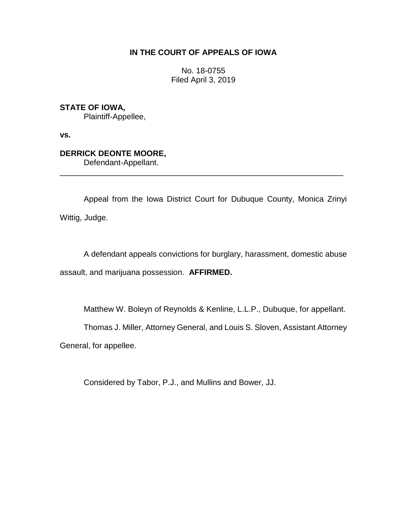## **IN THE COURT OF APPEALS OF IOWA**

No. 18-0755 Filed April 3, 2019

**STATE OF IOWA,**

Plaintiff-Appellee,

**vs.**

# **DERRICK DEONTE MOORE,**

Defendant-Appellant.

Appeal from the Iowa District Court for Dubuque County, Monica Zrinyi Wittig, Judge.

\_\_\_\_\_\_\_\_\_\_\_\_\_\_\_\_\_\_\_\_\_\_\_\_\_\_\_\_\_\_\_\_\_\_\_\_\_\_\_\_\_\_\_\_\_\_\_\_\_\_\_\_\_\_\_\_\_\_\_\_\_\_\_\_

A defendant appeals convictions for burglary, harassment, domestic abuse assault, and marijuana possession. **AFFIRMED.**

Matthew W. Boleyn of Reynolds & Kenline, L.L.P., Dubuque, for appellant.

Thomas J. Miller, Attorney General, and Louis S. Sloven, Assistant Attorney

General, for appellee.

Considered by Tabor, P.J., and Mullins and Bower, JJ.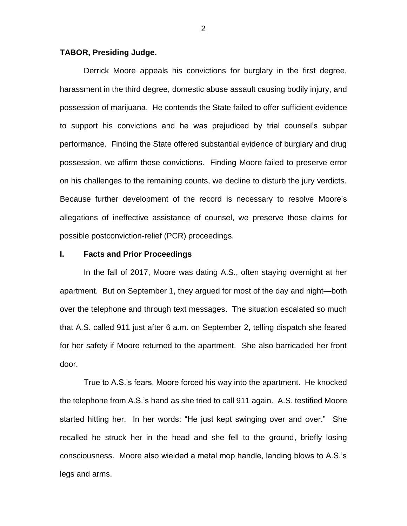## **TABOR, Presiding Judge.**

Derrick Moore appeals his convictions for burglary in the first degree, harassment in the third degree, domestic abuse assault causing bodily injury, and possession of marijuana. He contends the State failed to offer sufficient evidence to support his convictions and he was prejudiced by trial counsel's subpar performance. Finding the State offered substantial evidence of burglary and drug possession, we affirm those convictions. Finding Moore failed to preserve error on his challenges to the remaining counts, we decline to disturb the jury verdicts. Because further development of the record is necessary to resolve Moore's allegations of ineffective assistance of counsel, we preserve those claims for possible postconviction-relief (PCR) proceedings.

### **I. Facts and Prior Proceedings**

In the fall of 2017, Moore was dating A.S., often staying overnight at her apartment. But on September 1, they argued for most of the day and night—both over the telephone and through text messages. The situation escalated so much that A.S. called 911 just after 6 a.m. on September 2, telling dispatch she feared for her safety if Moore returned to the apartment. She also barricaded her front door.

True to A.S.'s fears, Moore forced his way into the apartment. He knocked the telephone from A.S.'s hand as she tried to call 911 again. A.S. testified Moore started hitting her. In her words: "He just kept swinging over and over." She recalled he struck her in the head and she fell to the ground, briefly losing consciousness. Moore also wielded a metal mop handle, landing blows to A.S.'s legs and arms.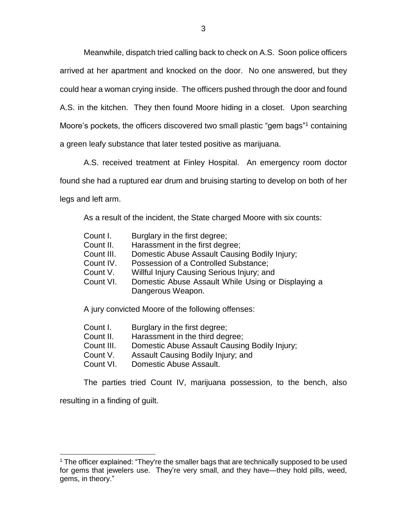Meanwhile, dispatch tried calling back to check on A.S. Soon police officers arrived at her apartment and knocked on the door. No one answered, but they could hear a woman crying inside. The officers pushed through the door and found A.S. in the kitchen. They then found Moore hiding in a closet. Upon searching Moore's pockets, the officers discovered two small plastic "gem bags" <sup>1</sup> containing a green leafy substance that later tested positive as marijuana.

A.S. received treatment at Finley Hospital. An emergency room doctor found she had a ruptured ear drum and bruising starting to develop on both of her legs and left arm.

As a result of the incident, the State charged Moore with six counts:

| Count I.   | Burglary in the first degree;                      |
|------------|----------------------------------------------------|
| Count II.  | Harassment in the first degree;                    |
| Count III. | Domestic Abuse Assault Causing Bodily Injury;      |
| Count IV.  | Possession of a Controlled Substance;              |
| Count V.   | Willful Injury Causing Serious Injury; and         |
| Count VI.  | Domestic Abuse Assault While Using or Displaying a |
|            | Dangerous Weapon.                                  |
|            | A jury convicted Moore of the following offenses:  |

| Count I.   | Burglary in the first degree;                 |
|------------|-----------------------------------------------|
| Count II.  | Harassment in the third degree;               |
| Count III. | Domestic Abuse Assault Causing Bodily Injury; |

- Count V. Assault Causing Bodily Injury; and
- Count VI. Domestic Abuse Assault.

The parties tried Count IV, marijuana possession, to the bench, also

resulting in a finding of guilt.

 $1$  The officer explained: "They're the smaller bags that are technically supposed to be used for gems that jewelers use. They're very small, and they have—they hold pills, weed, gems, in theory."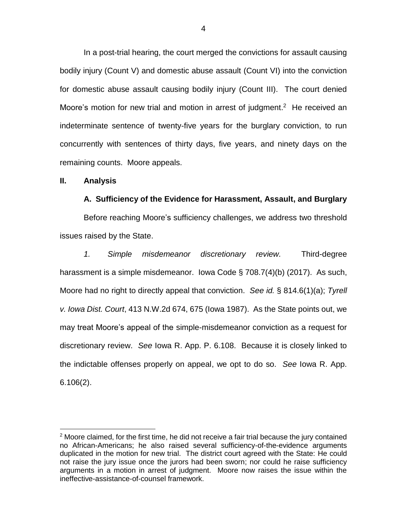In a post-trial hearing, the court merged the convictions for assault causing bodily injury (Count V) and domestic abuse assault (Count VI) into the conviction for domestic abuse assault causing bodily injury (Count III). The court denied Moore's motion for new trial and motion in arrest of judgment.<sup>2</sup> He received an indeterminate sentence of twenty-five years for the burglary conviction, to run concurrently with sentences of thirty days, five years, and ninety days on the remaining counts. Moore appeals.

#### **II. Analysis**

 $\overline{a}$ 

#### **A. Sufficiency of the Evidence for Harassment, Assault, and Burglary**

Before reaching Moore's sufficiency challenges, we address two threshold issues raised by the State.

*1. Simple misdemeanor discretionary review.* Third-degree harassment is a simple misdemeanor. Iowa Code § 708.7(4)(b) (2017). As such, Moore had no right to directly appeal that conviction. *See id.* § 814.6(1)(a); *Tyrell v. Iowa Dist. Court*, 413 N.W.2d 674, 675 (Iowa 1987). As the State points out, we may treat Moore's appeal of the simple-misdemeanor conviction as a request for discretionary review. *See* Iowa R. App. P. 6.108. Because it is closely linked to the indictable offenses properly on appeal, we opt to do so. *See* Iowa R. App. 6.106(2).

 $2$  Moore claimed, for the first time, he did not receive a fair trial because the jury contained no African-Americans; he also raised several sufficiency-of-the-evidence arguments duplicated in the motion for new trial. The district court agreed with the State: He could not raise the jury issue once the jurors had been sworn; nor could he raise sufficiency arguments in a motion in arrest of judgment. Moore now raises the issue within the ineffective-assistance-of-counsel framework.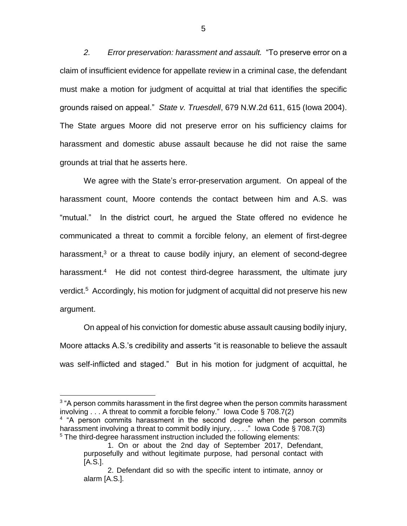*2. Error preservation: harassment and assault.*"To preserve error on a claim of insufficient evidence for appellate review in a criminal case, the defendant must make a motion for judgment of acquittal at trial that identifies the specific grounds raised on appeal." *State v. Truesdell*, 679 N.W.2d 611, 615 (Iowa 2004). The State argues Moore did not preserve error on his sufficiency claims for harassment and domestic abuse assault because he did not raise the same grounds at trial that he asserts here.

We agree with the State's error-preservation argument. On appeal of the harassment count, Moore contends the contact between him and A.S. was "mutual." In the district court, he argued the State offered no evidence he communicated a threat to commit a forcible felony, an element of first-degree harassment, $3$  or a threat to cause bodily injury, an element of second-degree harassment.<sup>4</sup> He did not contest third-degree harassment, the ultimate jury verdict.<sup>5</sup> Accordingly, his motion for judgment of acquittal did not preserve his new argument.

On appeal of his conviction for domestic abuse assault causing bodily injury, Moore attacks A.S.'s credibility and asserts "it is reasonable to believe the assault was self-inflicted and staged." But in his motion for judgment of acquittal, he

<sup>&</sup>lt;sup>3</sup> "A person commits harassment in the first degree when the person commits harassment involving . . . A threat to commit a forcible felony." Iowa Code § 708.7(2)

<sup>&</sup>lt;sup>4</sup> "A person commits harassment in the second degree when the person commits harassment involving a threat to commit bodily injury, ...." lowa Code § 708.7(3) <sup>5</sup> The third-degree harassment instruction included the following elements:

<sup>1.</sup> On or about the 2nd day of September 2017, Defendant, purposefully and without legitimate purpose, had personal contact with [A.S.].

<sup>2.</sup> Defendant did so with the specific intent to intimate, annoy or alarm [A.S.].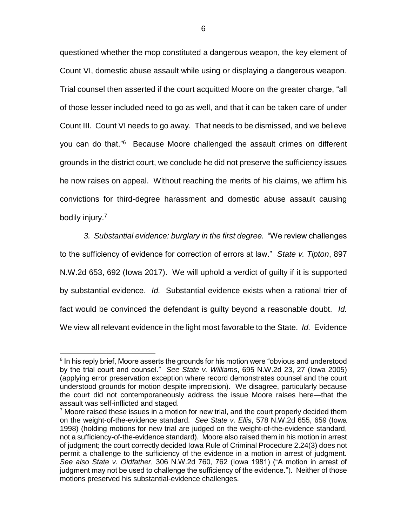questioned whether the mop constituted a dangerous weapon, the key element of Count VI, domestic abuse assault while using or displaying a dangerous weapon. Trial counsel then asserted if the court acquitted Moore on the greater charge, "all of those lesser included need to go as well, and that it can be taken care of under Count III. Count VI needs to go away. That needs to be dismissed, and we believe you can do that."<sup>6</sup> Because Moore challenged the assault crimes on different grounds in the district court, we conclude he did not preserve the sufficiency issues he now raises on appeal. Without reaching the merits of his claims, we affirm his convictions for third-degree harassment and domestic abuse assault causing bodily injury. 7

*3. Substantial evidence: burglary in the first degree.* "We review challenges to the sufficiency of evidence for correction of errors at law." *State v. Tipton*, 897 N.W.2d 653, 692 (Iowa 2017). We will uphold a verdict of guilty if it is supported by substantial evidence. *Id.* Substantial evidence exists when a rational trier of fact would be convinced the defendant is guilty beyond a reasonable doubt. *Id.* We view all relevant evidence in the light most favorable to the State. *Id.* Evidence

<sup>&</sup>lt;sup>6</sup> In his reply brief, Moore asserts the grounds for his motion were "obvious and understood by the trial court and counsel." *See State v. Williams*, 695 N.W.2d 23, 27 (Iowa 2005) (applying error preservation exception where record demonstrates counsel and the court understood grounds for motion despite imprecision). We disagree, particularly because the court did not contemporaneously address the issue Moore raises here—that the assault was self-inflicted and staged.

 $7$  Moore raised these issues in a motion for new trial, and the court properly decided them on the weight-of-the-evidence standard. *See State v. Ellis*, 578 N.W.2d 655, 659 (Iowa 1998) (holding motions for new trial are judged on the weight-of-the-evidence standard, not a sufficiency-of-the-evidence standard). Moore also raised them in his motion in arrest of judgment; the court correctly decided Iowa Rule of Criminal Procedure 2.24(3) does not permit a challenge to the sufficiency of the evidence in a motion in arrest of judgment. *See also State v. Oldfather*, 306 N.W.2d 760, 762 (Iowa 1981) ("A motion in arrest of judgment may not be used to challenge the sufficiency of the evidence."). Neither of those motions preserved his substantial-evidence challenges.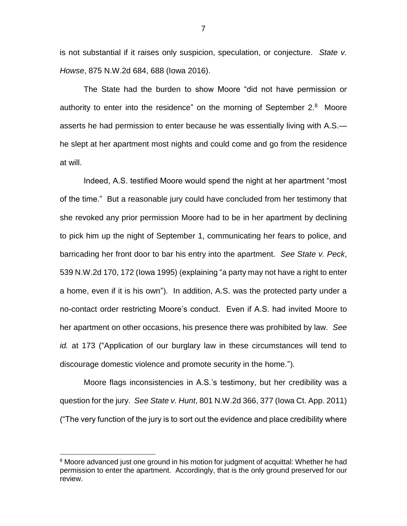is not substantial if it raises only suspicion, speculation, or conjecture. *State v. Howse*, 875 N.W.2d 684, 688 (Iowa 2016).

The State had the burden to show Moore "did not have permission or authority to enter into the residence" on the morning of September  $2.8$  Moore asserts he had permission to enter because he was essentially living with A.S. he slept at her apartment most nights and could come and go from the residence at will.

Indeed, A.S. testified Moore would spend the night at her apartment "most of the time." But a reasonable jury could have concluded from her testimony that she revoked any prior permission Moore had to be in her apartment by declining to pick him up the night of September 1, communicating her fears to police, and barricading her front door to bar his entry into the apartment. *See State v. Peck*, 539 N.W.2d 170, 172 (Iowa 1995) (explaining "a party may not have a right to enter a home, even if it is his own"). In addition, A.S. was the protected party under a no-contact order restricting Moore's conduct. Even if A.S. had invited Moore to her apartment on other occasions, his presence there was prohibited by law. *See id.* at 173 ("Application of our burglary law in these circumstances will tend to discourage domestic violence and promote security in the home.").

Moore flags inconsistencies in A.S.'s testimony, but her credibility was a question for the jury. *See State v. Hunt*, 801 N.W.2d 366, 377 (Iowa Ct. App. 2011) ("The very function of the jury is to sort out the evidence and place credibility where

<sup>&</sup>lt;sup>8</sup> Moore advanced just one ground in his motion for judgment of acquittal: Whether he had permission to enter the apartment. Accordingly, that is the only ground preserved for our review.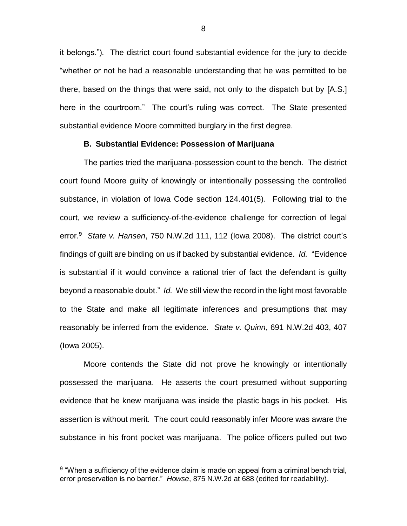it belongs.")*.* The district court found substantial evidence for the jury to decide "whether or not he had a reasonable understanding that he was permitted to be there, based on the things that were said, not only to the dispatch but by [A.S.] here in the courtroom." The court's ruling was correct. The State presented substantial evidence Moore committed burglary in the first degree.

#### **B. Substantial Evidence: Possession of Marijuana**

The parties tried the marijuana-possession count to the bench. The district court found Moore guilty of knowingly or intentionally possessing the controlled substance, in violation of Iowa Code section 124.401(5). Following trial to the court, we review a sufficiency-of-the-evidence challenge for correction of legal error.**<sup>9</sup>** *State v. Hansen*, 750 N.W.2d 111, 112 (Iowa 2008). The district court's findings of guilt are binding on us if backed by substantial evidence. *Id.* "Evidence is substantial if it would convince a rational trier of fact the defendant is guilty beyond a reasonable doubt." *Id.* We still view the record in the light most favorable to the State and make all legitimate inferences and presumptions that may reasonably be inferred from the evidence. *State v. Quinn*, 691 N.W.2d 403, 407 (Iowa 2005).

Moore contends the State did not prove he knowingly or intentionally possessed the marijuana. He asserts the court presumed without supporting evidence that he knew marijuana was inside the plastic bags in his pocket. His assertion is without merit. The court could reasonably infer Moore was aware the substance in his front pocket was marijuana. The police officers pulled out two

 $9$  "When a sufficiency of the evidence claim is made on appeal from a criminal bench trial, error preservation is no barrier." *Howse*, 875 N.W.2d at 688 (edited for readability).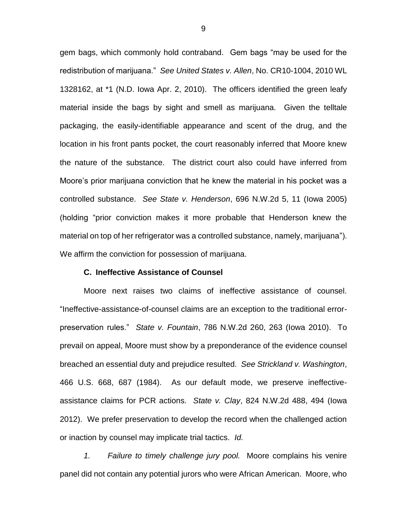gem bags, which commonly hold contraband. Gem bags "may be used for the redistribution of marijuana." *See United States v. Allen*, No. CR10-1004, 2010 WL 1328162, at \*1 (N.D. Iowa Apr. 2, 2010). The officers identified the green leafy material inside the bags by sight and smell as marijuana. Given the telltale packaging, the easily-identifiable appearance and scent of the drug, and the location in his front pants pocket, the court reasonably inferred that Moore knew the nature of the substance. The district court also could have inferred from Moore's prior marijuana conviction that he knew the material in his pocket was a controlled substance. *See State v. Henderson*, 696 N.W.2d 5, 11 (Iowa 2005) (holding "prior conviction makes it more probable that Henderson knew the material on top of her refrigerator was a controlled substance, namely, marijuana"). We affirm the conviction for possession of marijuana.

## **C. Ineffective Assistance of Counsel**

Moore next raises two claims of ineffective assistance of counsel. "Ineffective-assistance-of-counsel claims are an exception to the traditional errorpreservation rules." *State v. Fountain*, 786 N.W.2d 260, 263 (Iowa 2010). To prevail on appeal, Moore must show by a preponderance of the evidence counsel breached an essential duty and prejudice resulted. *See Strickland v. Washington*, 466 U.S. 668, 687 (1984). As our default mode, we preserve ineffectiveassistance claims for PCR actions. *State v. Clay*, 824 N.W.2d 488, 494 (Iowa 2012). We prefer preservation to develop the record when the challenged action or inaction by counsel may implicate trial tactics. *Id.*

*1. Failure to timely challenge jury pool.* Moore complains his venire panel did not contain any potential jurors who were African American. Moore, who

9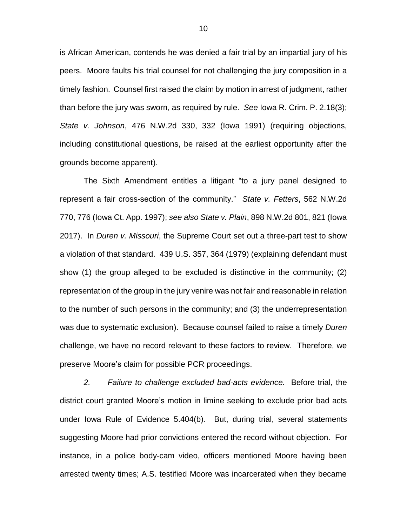is African American, contends he was denied a fair trial by an impartial jury of his peers. Moore faults his trial counsel for not challenging the jury composition in a timely fashion. Counsel first raised the claim by motion in arrest of judgment, rather than before the jury was sworn, as required by rule. *See* Iowa R. Crim. P. 2.18(3); *State v. Johnson*, 476 N.W.2d 330, 332 (Iowa 1991) (requiring objections, including constitutional questions, be raised at the earliest opportunity after the grounds become apparent).

The Sixth Amendment entitles a litigant "to a jury panel designed to represent a fair cross-section of the community." *State v. Fetters*, 562 N.W.2d 770, 776 (Iowa Ct. App. 1997); *see also State v. Plain*, 898 N.W.2d 801, 821 (Iowa 2017). In *Duren v. Missouri*, the Supreme Court set out a three-part test to show a violation of that standard. 439 U.S. 357, 364 (1979) (explaining defendant must show (1) the group alleged to be excluded is distinctive in the community; (2) representation of the group in the jury venire was not fair and reasonable in relation to the number of such persons in the community; and (3) the underrepresentation was due to systematic exclusion). Because counsel failed to raise a timely *Duren* challenge, we have no record relevant to these factors to review. Therefore, we preserve Moore's claim for possible PCR proceedings.

*2. Failure to challenge excluded bad-acts evidence.* Before trial, the district court granted Moore's motion in limine seeking to exclude prior bad acts under Iowa Rule of Evidence 5.404(b). But, during trial, several statements suggesting Moore had prior convictions entered the record without objection. For instance, in a police body-cam video, officers mentioned Moore having been arrested twenty times; A.S. testified Moore was incarcerated when they became